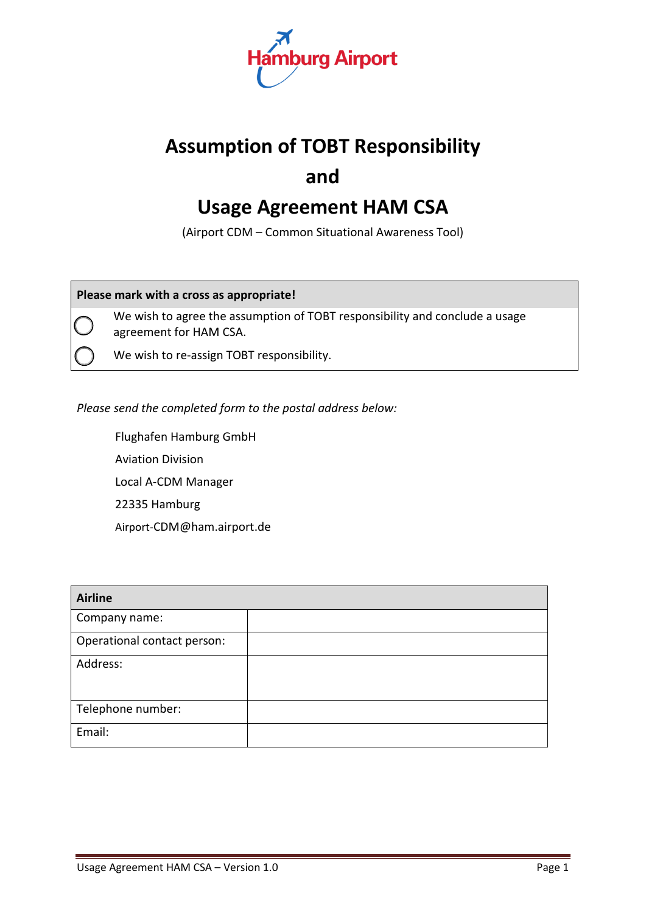

## **Assumption of TOBT Responsibility**

### **and**

## **Usage Agreement HAM CSA**

(Airport CDM – Common Situational Awareness Tool)

#### **Please mark with a cross as appropriate!**

We wish to agree the assumption of TOBT responsibility and conclude a usage agreement for HAM CSA.

We wish to re-assign TOBT responsibility.

#### *Please send the completed form to the postal address below:*

Flughafen Hamburg GmbH Aviation Division Local A-CDM Manager 22335 Hamburg Airport-CDM@ham.airport.de

| <b>Airline</b>              |  |
|-----------------------------|--|
| Company name:               |  |
| Operational contact person: |  |
| Address:                    |  |
|                             |  |
| Telephone number:           |  |
| Email:                      |  |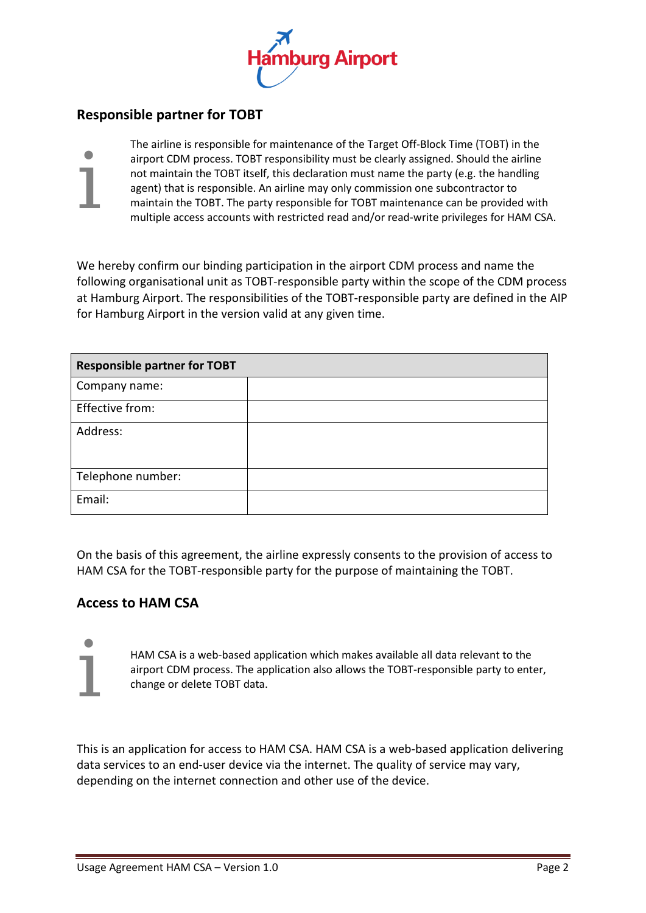

### **Responsible partner for TOBT**

i

The airline is responsible for maintenance of the Target Off-Block Time (TOBT) in the airport CDM process. TOBT responsibility must be clearly assigned. Should the airline not maintain the TOBT itself, this declaration must name the party (e.g. the handling agent) that is responsible. An airline may only commission one subcontractor to maintain the TOBT. The party responsible for TOBT maintenance can be provided with multiple access accounts with restricted read and/or read-write privileges for HAM CSA.

We hereby confirm our binding participation in the airport CDM process and name the following organisational unit as TOBT-responsible party within the scope of the CDM process at Hamburg Airport. The responsibilities of the TOBT-responsible party are defined in the AIP for Hamburg Airport in the version valid at any given time.

| <b>Responsible partner for TOBT</b> |  |
|-------------------------------------|--|
| Company name:                       |  |
| Effective from:                     |  |
| Address:                            |  |
|                                     |  |
| Telephone number:                   |  |
| Email:                              |  |

On the basis of this agreement, the airline expressly consents to the provision of access to HAM CSA for the TOBT-responsible party for the purpose of maintaining the TOBT.

### **Access to HAM CSA**

# HAM CSA is a web-based application which makes available all data relevant to the airport CDM process. The application also allows the TOBT-responsible party to ent change or delete TOBT data. airport CDM process. The application also allows the TOBT-responsible party to enter, change or delete TOBT data.

This is an application for access to HAM CSA. HAM CSA is a web-based application delivering data services to an end-user device via the internet. The quality of service may vary, depending on the internet connection and other use of the device.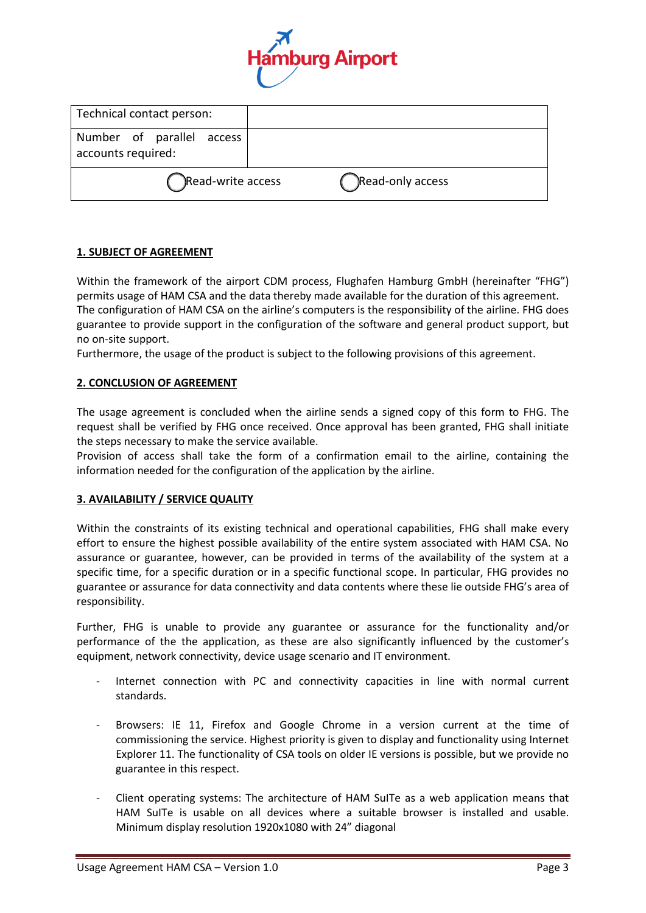

| Technical contact person:                       |                  |  |
|-------------------------------------------------|------------------|--|
| Number of parallel access<br>accounts required: |                  |  |
| Read-write access                               | Read-only access |  |

#### **1. SUBJECT OF AGREEMENT**

Within the framework of the airport CDM process, Flughafen Hamburg GmbH (hereinafter "FHG") permits usage of HAM CSA and the data thereby made available for the duration of this agreement. The configuration of HAM CSA on the airline's computers is the responsibility of the airline. FHG does guarantee to provide support in the configuration of the software and general product support, but no on-site support.

Furthermore, the usage of the product is subject to the following provisions of this agreement.

#### **2. CONCLUSION OF AGREEMENT**

The usage agreement is concluded when the airline sends a signed copy of this form to FHG. The request shall be verified by FHG once received. Once approval has been granted, FHG shall initiate the steps necessary to make the service available.

Provision of access shall take the form of a confirmation email to the airline, containing the information needed for the configuration of the application by the airline.

#### **3. AVAILABILITY / SERVICE QUALITY**

Within the constraints of its existing technical and operational capabilities, FHG shall make every effort to ensure the highest possible availability of the entire system associated with HAM CSA. No assurance or guarantee, however, can be provided in terms of the availability of the system at a specific time, for a specific duration or in a specific functional scope. In particular, FHG provides no guarantee or assurance for data connectivity and data contents where these lie outside FHG's area of responsibility.

Further, FHG is unable to provide any guarantee or assurance for the functionality and/or performance of the the application, as these are also significantly influenced by the customer's equipment, network connectivity, device usage scenario and IT environment.

- Internet connection with PC and connectivity capacities in line with normal current standards.
- Browsers: IE 11, Firefox and Google Chrome in a version current at the time of commissioning the service. Highest priority is given to display and functionality using Internet Explorer 11. The functionality of CSA tools on older IE versions is possible, but we provide no guarantee in this respect.
- Client operating systems: The architecture of HAM SuITe as a web application means that HAM SuITe is usable on all devices where a suitable browser is installed and usable. Minimum display resolution 1920x1080 with 24" diagonal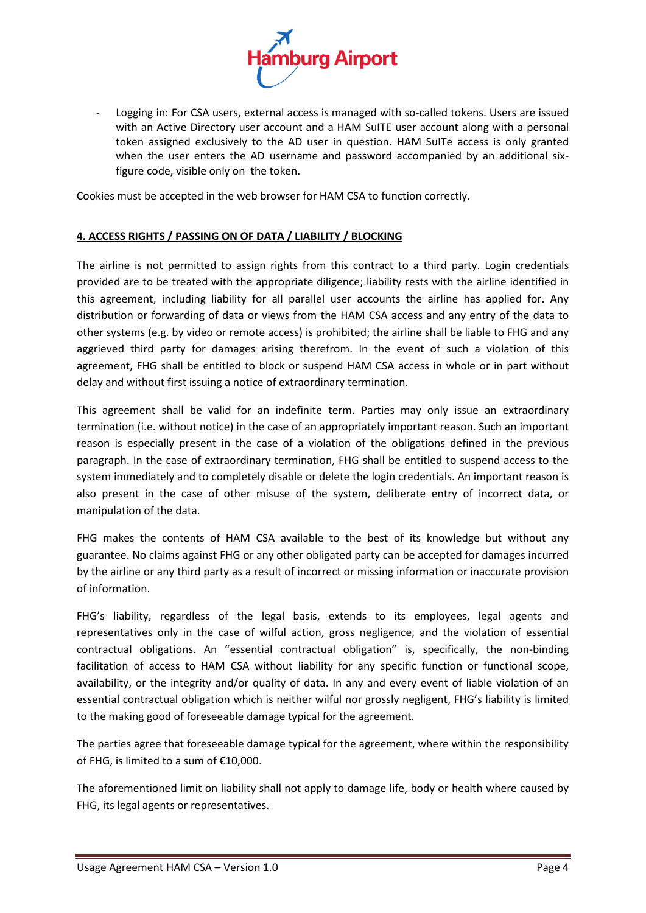

Logging in: For CSA users, external access is managed with so-called tokens. Users are issued with an Active Directory user account and a HAM SuITE user account along with a personal token assigned exclusively to the AD user in question. HAM SuITe access is only granted when the user enters the AD username and password accompanied by an additional sixfigure code, visible only on the token.

Cookies must be accepted in the web browser for HAM CSA to function correctly.

#### **4. ACCESS RIGHTS / PASSING ON OF DATA / LIABILITY / BLOCKING**

The airline is not permitted to assign rights from this contract to a third party. Login credentials provided are to be treated with the appropriate diligence; liability rests with the airline identified in this agreement, including liability for all parallel user accounts the airline has applied for. Any distribution or forwarding of data or views from the HAM CSA access and any entry of the data to other systems (e.g. by video or remote access) is prohibited; the airline shall be liable to FHG and any aggrieved third party for damages arising therefrom. In the event of such a violation of this agreement, FHG shall be entitled to block or suspend HAM CSA access in whole or in part without delay and without first issuing a notice of extraordinary termination.

This agreement shall be valid for an indefinite term. Parties may only issue an extraordinary termination (i.e. without notice) in the case of an appropriately important reason. Such an important reason is especially present in the case of a violation of the obligations defined in the previous paragraph. In the case of extraordinary termination, FHG shall be entitled to suspend access to the system immediately and to completely disable or delete the login credentials. An important reason is also present in the case of other misuse of the system, deliberate entry of incorrect data, or manipulation of the data.

FHG makes the contents of HAM CSA available to the best of its knowledge but without any guarantee. No claims against FHG or any other obligated party can be accepted for damages incurred by the airline or any third party as a result of incorrect or missing information or inaccurate provision of information.

FHG's liability, regardless of the legal basis, extends to its employees, legal agents and representatives only in the case of wilful action, gross negligence, and the violation of essential contractual obligations. An "essential contractual obligation" is, specifically, the non-binding facilitation of access to HAM CSA without liability for any specific function or functional scope, availability, or the integrity and/or quality of data. In any and every event of liable violation of an essential contractual obligation which is neither wilful nor grossly negligent, FHG's liability is limited to the making good of foreseeable damage typical for the agreement.

The parties agree that foreseeable damage typical for the agreement, where within the responsibility of FHG, is limited to a sum of €10,000.

The aforementioned limit on liability shall not apply to damage life, body or health where caused by FHG, its legal agents or representatives.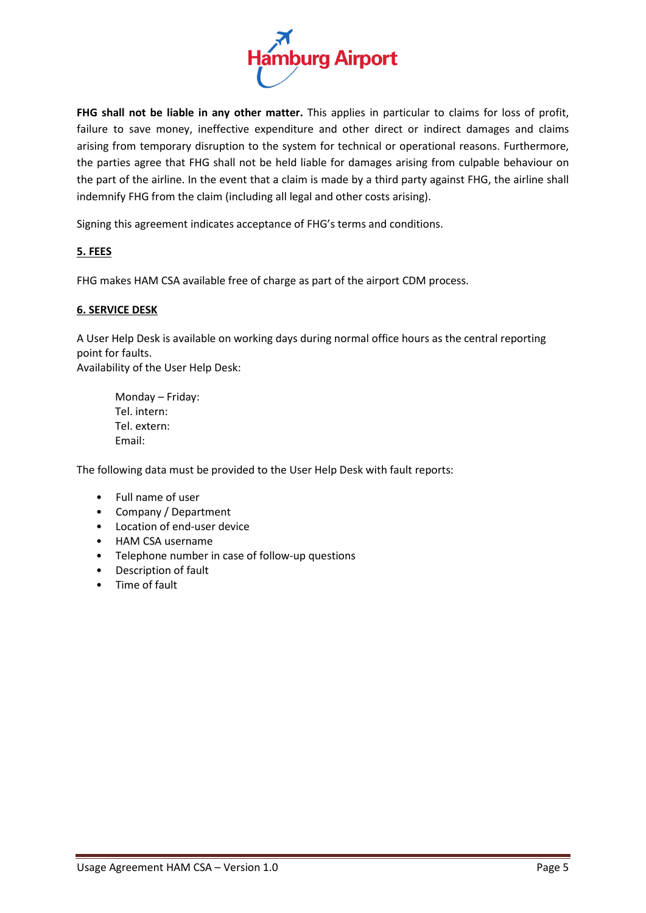

**FHG shall not be liable in any other matter.** This applies in particular to claims for loss of profit, failure to save money, ineffective expenditure and other direct or indirect damages and claims arising from temporary disruption to the system for technical or operational reasons. Furthermore, the parties agree that FHG shall not be held liable for damages arising from culpable behaviour on the part of the airline. In the event that a claim is made by a third party against FHG, the airline shall indemnify FHG from the claim (including all legal and other costs arising).

Signing this agreement indicates acceptance of FHG's terms and conditions.

#### **5. FEES**

FHG makes HAM CSA available free of charge as part of the airport CDM process.

#### **6. SERVICE DESK**

A User Help Desk is available on working days during normal office hours as the central reporting point for faults.

Availability of the User Help Desk:

Monday – Friday: Tel. intern: Tel. extern: Email:

The following data must be provided to the User Help Desk with fault reports:

- Full name of user
- Company / Department
- Location of end-user device
- HAM CSA username
- Telephone number in case of follow-up questions
- Description of fault
- Time of fault